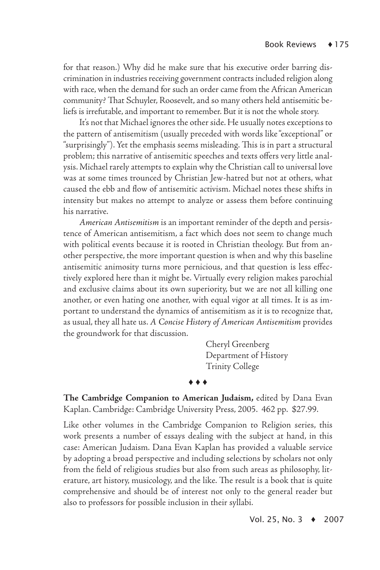for that reason.) Why did he make sure that his executive order barring discrimination in industries receiving government contracts included religion along with race, when the demand for such an order came from the African American community? That Schuyler, Roosevelt, and so many others held antisemitic beliefs is irrefutable, and important to remember. But it is not the whole story.

It's not that Michael ignores the other side. He usually notes exceptions to the pattern of antisemitism (usually preceded with words like "exceptional" or "surprisingly"). Yet the emphasis seems misleading. This is in part a structural problem; this narrative of antisemitic speeches and texts offers very little analysis. Michael rarely attempts to explain why the Christian call to universal love was at some times trounced by Christian Jew-hatred but not at others, what caused the ebb and flow of antisemitic activism. Michael notes these shifts in intensity but makes no attempt to analyze or assess them before continuing his narrative.

*American Antisemitism* is an important reminder of the depth and persistence of American antisemitism, a fact which does not seem to change much with political events because it is rooted in Christian theology. But from another perspective, the more important question is when and why this baseline antisemitic animosity turns more pernicious, and that question is less effectively explored here than it might be. Virtually every religion makes parochial and exclusive claims about its own superiority, but we are not all killing one another, or even hating one another, with equal vigor at all times. It is as important to understand the dynamics of antisemitism as it is to recognize that, as usual, they all hate us. *A Concise History of American Antisemitism* provides the groundwork for that discussion.

> Cheryl Greenberg Department of History Trinity College

**The Cambridge Companion to American Judaism,** edited by Dana Evan Kaplan. Cambridge: Cambridge University Press, 2005. 462 pp. \$27.99.

♦ ♦ ♦

Like other volumes in the Cambridge Companion to Religion series, this work presents a number of essays dealing with the subject at hand, in this case: American Judaism. Dana Evan Kaplan has provided a valuable service by adopting a broad perspective and including selections by scholars not only from the field of religious studies but also from such areas as philosophy, literature, art history, musicology, and the like. The result is a book that is quite comprehensive and should be of interest not only to the general reader but also to professors for possible inclusion in their syllabi.

Vol. 25, No. 3 ♦ 2007